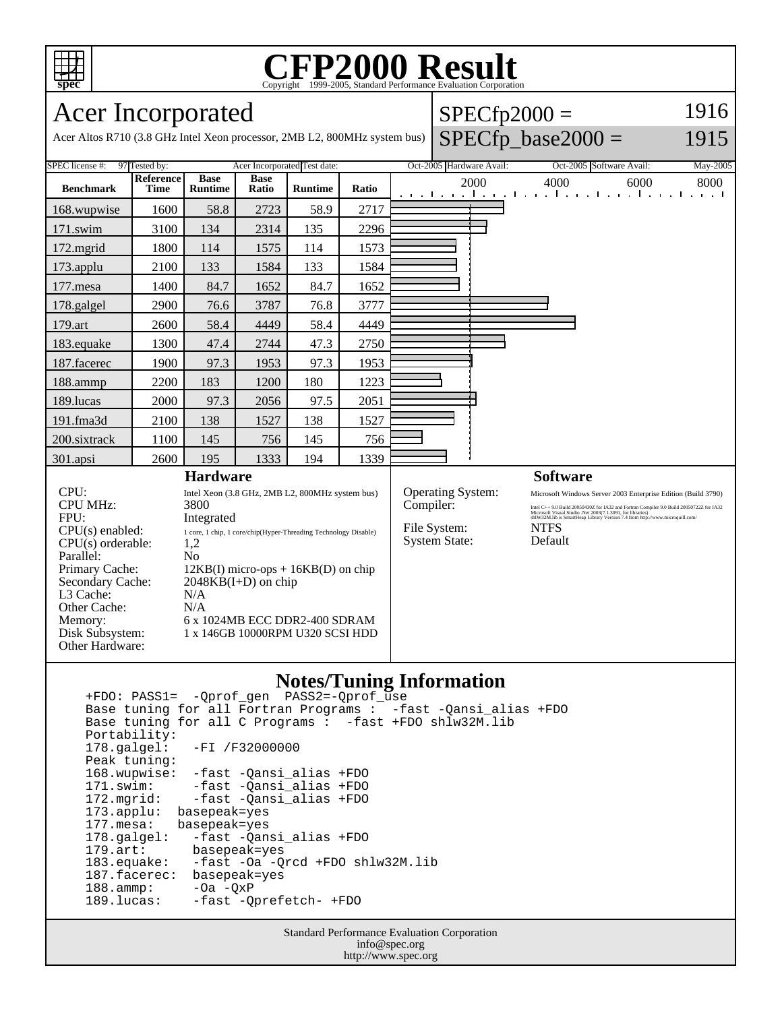

Parallel:<br>Primary Cache:

Other Cache:<br>Memory:

Other Hardware:

L3 Cache: N/A<br>Other Cache: N/A

Secondary Cache: 2048KB(I+D) on chip

Disk Subsystem: 1 x 146GB 10000RPM U320 SCSI HDD

## C<sub>opyright</sub> ©1999-2005, Standard Performance Evaluation Corporation

| Acer Incorporated                                                |                     |                        |                             | $SPECfp2000 =$                                                                                      |       |  | 1916                     |      |                          |          |
|------------------------------------------------------------------|---------------------|------------------------|-----------------------------|-----------------------------------------------------------------------------------------------------|-------|--|--------------------------|------|--------------------------|----------|
|                                                                  |                     |                        |                             | Acer Altos R710 (3.8 GHz Intel Xeon processor, 2MB L2, 800MHz system bus) $\vert$ SPECfp_base2000 = |       |  | 1915                     |      |                          |          |
| 97 Tested by:<br>SPEC license #:<br>Acer Incorporated Test date: |                     |                        |                             |                                                                                                     |       |  | Oct-2005 Hardware Avail: |      | Oct-2005 Software Avail: | May-2005 |
| <b>Benchmark</b>                                                 | Reference  <br>Time | Base<br><b>Runtime</b> | <b>Base</b><br><b>Ratio</b> | <b>Runtime</b>                                                                                      | Ratio |  | 2000                     | 4000 | 6000                     | 8000     |

| 168.wupwise                                                                              | 1600 | 58.8                                                                                                                                                  | 2723 | 58.9 | 2717            |                                                                                                                                                                                                                                                                                                                                                                                                                    |
|------------------------------------------------------------------------------------------|------|-------------------------------------------------------------------------------------------------------------------------------------------------------|------|------|-----------------|--------------------------------------------------------------------------------------------------------------------------------------------------------------------------------------------------------------------------------------------------------------------------------------------------------------------------------------------------------------------------------------------------------------------|
| 171.swim                                                                                 | 3100 | 134                                                                                                                                                   | 2314 | 135  | 2296            |                                                                                                                                                                                                                                                                                                                                                                                                                    |
| $172$ .mgrid                                                                             | 1800 | 114                                                                                                                                                   | 1575 | 114  | 1573            |                                                                                                                                                                                                                                                                                                                                                                                                                    |
| 173.applu                                                                                | 2100 | 133                                                                                                                                                   | 1584 | 133  | 1584            |                                                                                                                                                                                                                                                                                                                                                                                                                    |
| 177.mesa                                                                                 | 1400 | 84.7                                                                                                                                                  | 1652 | 84.7 | 1652            |                                                                                                                                                                                                                                                                                                                                                                                                                    |
| 178.galgel                                                                               | 2900 | 76.6                                                                                                                                                  | 3787 | 76.8 | 3777            |                                                                                                                                                                                                                                                                                                                                                                                                                    |
| 179.art                                                                                  | 2600 | 58.4                                                                                                                                                  | 4449 | 58.4 | 4449            |                                                                                                                                                                                                                                                                                                                                                                                                                    |
| 183.equake                                                                               | 1300 | 47.4                                                                                                                                                  | 2744 | 47.3 | 2750            |                                                                                                                                                                                                                                                                                                                                                                                                                    |
| 187.facerec                                                                              | 1900 | 97.3                                                                                                                                                  | 1953 | 97.3 | 1953            |                                                                                                                                                                                                                                                                                                                                                                                                                    |
| 188.ammp                                                                                 | 2200 | 183                                                                                                                                                   | 1200 | 180  | 1223            |                                                                                                                                                                                                                                                                                                                                                                                                                    |
| 189.lucas                                                                                | 2000 | 97.3                                                                                                                                                  | 2056 | 97.5 | 2051            |                                                                                                                                                                                                                                                                                                                                                                                                                    |
| 191.fma3d                                                                                | 2100 | 138                                                                                                                                                   | 1527 | 138  | 1527            |                                                                                                                                                                                                                                                                                                                                                                                                                    |
| 200.sixtrack                                                                             | 1100 | 145                                                                                                                                                   | 756  | 145  | 756             |                                                                                                                                                                                                                                                                                                                                                                                                                    |
| 301.apsi                                                                                 | 2600 | 195                                                                                                                                                   | 1333 | 194  | 1339            |                                                                                                                                                                                                                                                                                                                                                                                                                    |
|                                                                                          |      | <b>Hardware</b>                                                                                                                                       |      |      | <b>Software</b> |                                                                                                                                                                                                                                                                                                                                                                                                                    |
| CPU:<br><b>CPU MHz:</b><br>FPU:<br>$CPU(s)$ enabled:<br>$CPU(s)$ orderable:<br>Parallel: |      | Intel Xeon (3.8 GHz, 2MB L2, 800MHz system bus)<br>3800<br>Integrated<br>1 core, 1 chip, 1 core/chip(Hyper-Threading Technology Disable)<br>1,2<br>No |      |      |                 | <b>Operating System:</b><br>Microsoft Windows Server 2003 Enterprise Edition (Build 3790)<br>Compiler:<br>Intel C++ 9.0 Build 20050430Z for IA32 and Fortran Compiler 9.0 Build 20050722Z for IA32<br>Microsoft Visual Studio .Net 2003(7.1.3091, for libraries)<br>shlW32M.lib is SmartHeap Library Version 7.4 from http://www.microquill.com/<br>File System:<br><b>NTFS</b><br><b>System State:</b><br>Default |

## **Notes/Tuning Information**

 +FDO: PASS1= -Qprof\_gen PASS2=-Qprof\_use Base tuning for all Fortran Programs : -fast -Qansi\_alias +FDO Base tuning for all C Programs : -fast +FDO shlw32M.lib Portability:<br>178.galgel: -FI /F32000000 Peak tuning: 168.wupwise: -fast -Qansi\_alias +FDO 171.swim: -fast -Qansi\_alias +FDO<br>172.mgrid: -fast -Qansi\_alias +FDO 172.mgrid: -fast -Qansi\_alias +FDO 173.applu: basepeak=yes 177.mesa: basepeak=yes 178.galgel: -fast -Qansi\_alias +FDO<br>179.art: basepeak=yes 179.art: basepeak=yes<br>183.equake: -fast -Oa -Q -fast -Oa -Qrcd +FDO shlw32M.lib 187.facerec: basepeak=yes 188.ammp: -Oa -QxP<br>189.lucas: -fast -O -fast -Qprefetch- +FDO

 $12KB(I)$  micro-ops +  $16KB(D)$  on chip

6 x 1024MB ECC DDR2-400 SDRAM

Standard Performance Evaluation Corporation info@spec.org http://www.spec.org